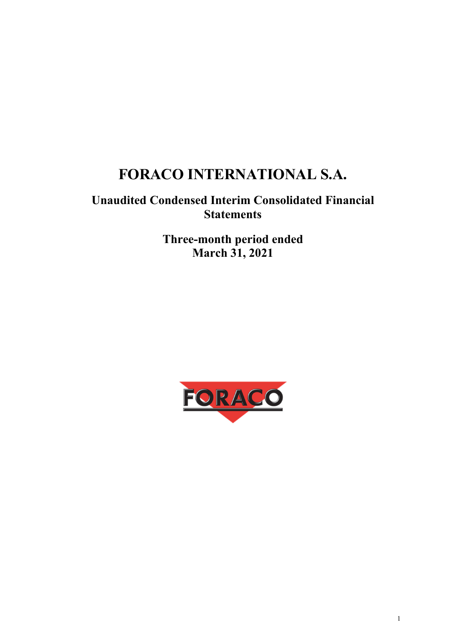# **FORACO INTERNATIONAL S.A.**

# **Unaudited Condensed Interim Consolidated Financial Statements**

**Three-month period ended March 31, 2021** 

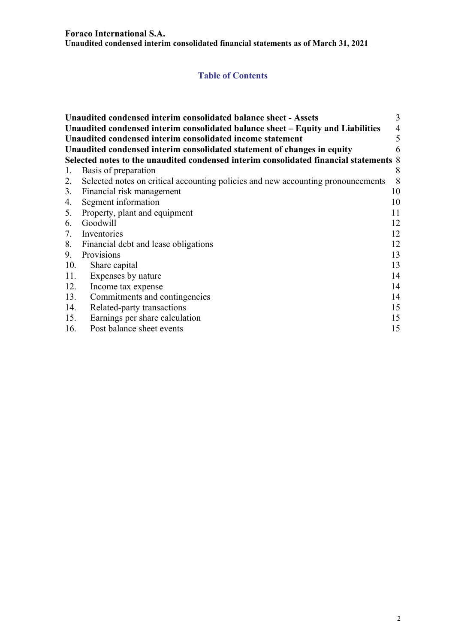#### **Foraco International S.A.**

**Unaudited condensed interim consolidated financial statements as of March 31, 2021** 

# **Table of Contents**

|     | Unaudited condensed interim consolidated balance sheet - Assets                       | 3  |
|-----|---------------------------------------------------------------------------------------|----|
|     | Unaudited condensed interim consolidated balance sheet – Equity and Liabilities       | 4  |
|     | Unaudited condensed interim consolidated income statement                             | 5  |
|     | Unaudited condensed interim consolidated statement of changes in equity               | 6  |
|     | Selected notes to the unaudited condensed interim consolidated financial statements 8 |    |
| 1.  | Basis of preparation                                                                  | 8  |
| 2.  | Selected notes on critical accounting policies and new accounting pronouncements      | 8  |
|     | 3. Financial risk management                                                          | 10 |
| 4.  | Segment information                                                                   | 10 |
|     | 5. Property, plant and equipment                                                      | 11 |
|     | 6. Goodwill                                                                           | 12 |
| 7.  | Inventories                                                                           | 12 |
|     | 8. Financial debt and lease obligations                                               | 12 |
| 9.  | Provisions                                                                            | 13 |
| 10. | Share capital                                                                         | 13 |
| 11. | Expenses by nature                                                                    | 14 |
| 12. | Income tax expense                                                                    | 14 |
| 13. | Commitments and contingencies                                                         | 14 |
| 14. | Related-party transactions                                                            | 15 |
| 15. | Earnings per share calculation                                                        | 15 |
| 16. | Post balance sheet events                                                             | 15 |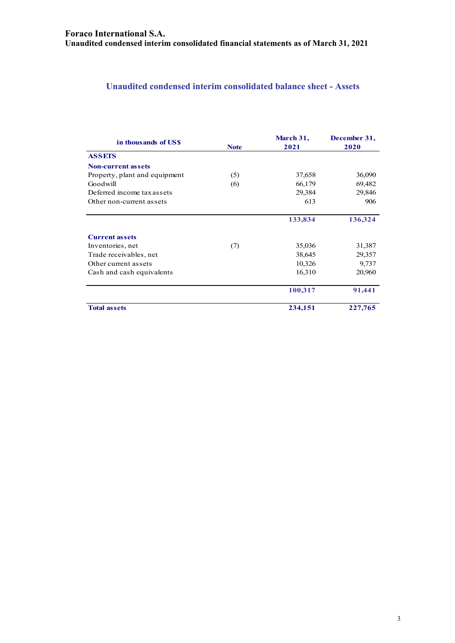# **Unaudited condensed interim consolidated balance sheet - Assets**

| in thousands of USS           | <b>Note</b> | March 31,<br>2021 | December 31,<br>2020 |
|-------------------------------|-------------|-------------------|----------------------|
| <b>ASSETS</b>                 |             |                   |                      |
| <b>Non-current assets</b>     |             |                   |                      |
| Property, plant and equipment | (5)         | 37,658            | 36,090               |
| Goodwill                      | (6)         | 66,179            | 69,482               |
| Deferred income tax assets    |             | 29,384            | 29,846               |
| Other non-current assets      |             | 613               | 906                  |
|                               |             | 133,834           | 136,324              |
| <b>Current assets</b>         |             |                   |                      |
| Inventories, net              | (7)         | 35,036            | 31,387               |
| Trade receivables, net        |             | 38,645            | 29,357               |
| Other current assets          |             | 10,326            | 9,737                |
| Cash and cash equivalents     |             | 16,310            | 20,960               |
|                               |             | 100,317           | 91,441               |
| <b>Total assets</b>           |             | 234,151           | 227,765              |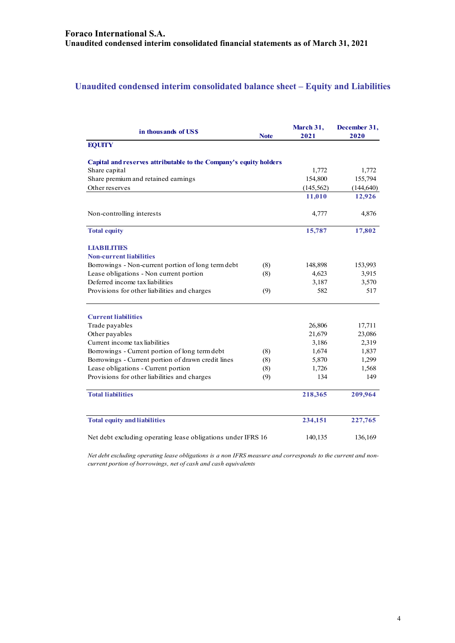# **Unaudited condensed interim consolidated balance sheet – Equity and Liabilities**

| in thousands of US\$                                              | <b>Note</b> | March 31,<br>2021 | December 31,<br>2020 |
|-------------------------------------------------------------------|-------------|-------------------|----------------------|
| <b>EQUITY</b>                                                     |             |                   |                      |
| Capital and reserves attributable to the Company's equity holders |             |                   |                      |
| Share capital                                                     |             | 1,772             | 1,772                |
| Share premium and retained earnings                               |             | 154,800           | 155,794              |
| Other reserves                                                    |             | (145, 562)        | (144, 640)           |
|                                                                   |             | 11,010            | 12,926               |
| Non-controlling interests                                         |             | 4,777             | 4,876                |
| <b>Total equity</b>                                               |             | 15,787            | 17,802               |
| <b>LIABILITIES</b>                                                |             |                   |                      |
| <b>Non-current liabilities</b>                                    |             |                   |                      |
| Borrowings - Non-current portion of long term debt                | (8)         | 148,898           | 153,993              |
| Lease obligations - Non current portion                           | (8)         | 4,623             | 3,915                |
| Deferred income tax liabilities                                   |             | 3,187             | 3,570                |
| Provisions for other liabilities and charges                      | (9)         | 582               | 517                  |
| <b>Current liabilities</b>                                        |             |                   |                      |
| Trade payables                                                    |             | 26,806            | 17,711               |
| Other payables                                                    |             | 21,679            | 23,086               |
| Current income tax liabilities                                    |             | 3,186             | 2,319                |
| Borrowings - Current portion of long term debt                    | (8)         | 1,674             | 1,837                |
| Borrowings - Current portion of drawn credit lines                | (8)         | 5,870             | 1,299                |
| Lease obligations - Current portion                               | (8)         | 1,726             | 1,568                |
| Provisions for other liabilities and charges                      | (9)         | 134               | 149                  |
| <b>Total liabilities</b>                                          |             | 218,365           | 209,964              |
| <b>Total equity and liabilities</b>                               |             | 234,151           | 227,765              |
| Net debt excluding operating lease obligations under IFRS 16      |             | 140,135           | 136,169              |

*Net debt excluding operating lease obligations is a non IFRS measure and corresponds to the current and noncurrent portion of borrowings, net of cash and cash equivalents*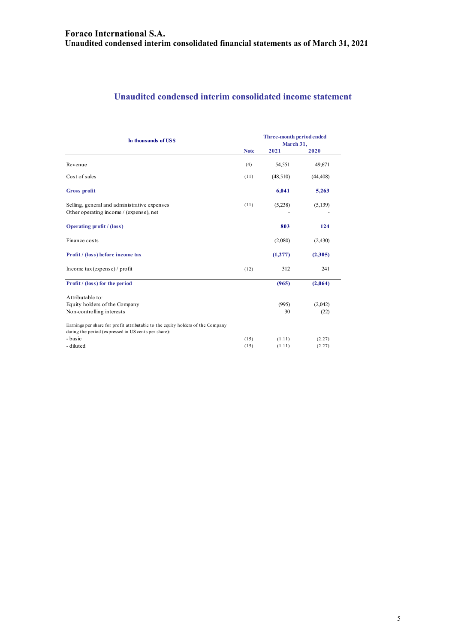# **Unaudited condensed interim consolidated income statement**

| In thousands of US\$                                                                                                                    | Three-month period ended<br>March 31, |          |           |  |
|-----------------------------------------------------------------------------------------------------------------------------------------|---------------------------------------|----------|-----------|--|
|                                                                                                                                         | <b>Note</b>                           | 2021     | 2020      |  |
| Revenue                                                                                                                                 | (4)                                   | 54,551   | 49,671    |  |
| Cost of sales                                                                                                                           | (11)                                  | (48,510) | (44, 408) |  |
| <b>Gross profit</b>                                                                                                                     |                                       | 6,041    | 5,263     |  |
| Selling, general and administrative expenses<br>Other operating income / (expense), net                                                 | (11)                                  | (5,238)  | (5,139)   |  |
| <b>Operating profit / (loss)</b>                                                                                                        |                                       | 803      | 124       |  |
| Finance costs                                                                                                                           |                                       | (2,080)  | (2,430)   |  |
| Profit / (loss) before income tax                                                                                                       |                                       | (1,277)  | (2,305)   |  |
| Income $\text{tax}$ (expense) / profit                                                                                                  | (12)                                  | 312      | 241       |  |
| Profit / (loss) for the period                                                                                                          |                                       | (965)    | (2,064)   |  |
| Attributable to:                                                                                                                        |                                       |          |           |  |
| Equity holders of the Company                                                                                                           |                                       | (995)    | (2,042)   |  |
| Non-controlling interests                                                                                                               |                                       | 30       | (22)      |  |
| Earnings per share for profit attributable to the equity holders of the Company<br>during the period (expressed in US cents per share): |                                       |          |           |  |
| - basic                                                                                                                                 | (15)                                  | (1.11)   | (2.27)    |  |
| - diluted                                                                                                                               | (15)                                  | (1.11)   | (2.27)    |  |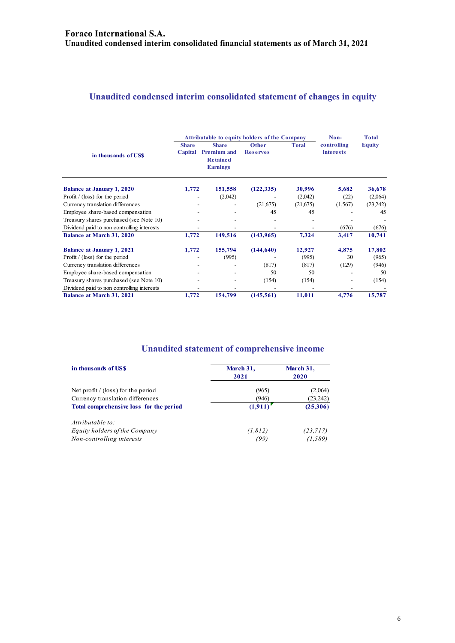#### **Unaudited condensed interim consolidated statement of changes in equity**

|                                            | <b>Attributable to equity holders of the Company</b> |                                                                          |                          |              | Non-                            | <b>Total</b>  |
|--------------------------------------------|------------------------------------------------------|--------------------------------------------------------------------------|--------------------------|--------------|---------------------------------|---------------|
| in thousands of USS                        | <b>Share</b><br>Capital                              | <b>Share</b><br><b>Premium and</b><br><b>Retained</b><br><b>Earnings</b> | Other<br><b>Reserves</b> | <b>Total</b> | controlling<br><i>interests</i> | <b>Equity</b> |
| <b>Balance at January 1, 2020</b>          | 1,772                                                | 151,558                                                                  | (122, 335)               | 30,996       | 5,682                           | 36,678        |
| Profit $/$ (loss) for the period           |                                                      | (2,042)                                                                  |                          | (2,042)      | (22)                            | (2,064)       |
| Currency translation differences           |                                                      |                                                                          | (21,675)                 | (21,675)     | (1,567)                         | (23,242)      |
| Employee share-based compensation          |                                                      |                                                                          | 45                       | 45           |                                 | 45            |
| Treasury shares purchased (see Note 10)    |                                                      |                                                                          |                          |              |                                 |               |
| Dividend paid to non controlling interests |                                                      |                                                                          |                          |              | (676)                           | (676)         |
| <b>Balance at March 31, 2020</b>           | 1,772                                                | 149,516                                                                  | (143, 965)               | 7,324        | 3,417                           | 10,741        |
| <b>Balance at January 1, 2021</b>          | 1,772                                                | 155,794                                                                  | (144, 640)               | 12,927       | 4,875                           | 17,802        |
| Profit $/$ (loss) for the period           |                                                      | (995)                                                                    |                          | (995)        | 30                              | (965)         |
| Currency translation differences           |                                                      |                                                                          | (817)                    | (817)        | (129)                           | (946)         |
| Employee share-based compensation          |                                                      |                                                                          | 50                       | 50           |                                 | 50            |
| Treasury shares purchased (see Note 10)    |                                                      |                                                                          | (154)                    | (154)        |                                 | (154)         |
| Dividend paid to non controlling interests |                                                      |                                                                          |                          |              |                                 |               |
| Balance at March 31, 2021                  | 1,772                                                | 154,799                                                                  | (145, 561)               | 11,011       | 4,776                           | 15,787        |

# **Unaudited statement of comprehensive income**

| in thousands of US\$                    | March 31,<br>2021 | March 31,<br>2020 |  |
|-----------------------------------------|-------------------|-------------------|--|
|                                         |                   |                   |  |
| Net profit / (loss) for the period      | (965)             | (2,064)           |  |
| Currency translation differences        | (946)             | (23, 242)         |  |
| Total comprehensive loss for the period | (1,911)           | (25,306)          |  |
| Attributable to:                        |                   |                   |  |
| Equity holders of the Company           | (1, 812)          | (23, 717)         |  |
| Non-controlling interests               | (99)              | (1, 589)          |  |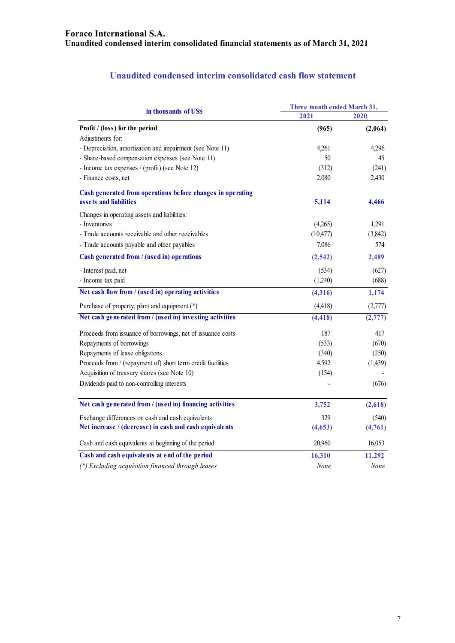# **Unaudited condensed interim consolidated cash flow statement**

|                                                             | Three month ended March 31, |          |  |
|-------------------------------------------------------------|-----------------------------|----------|--|
| in thousands of US\$                                        | 2021                        | 2020     |  |
| Profit / (loss) for the period                              | (965)                       | (2,064)  |  |
| Adjustments for:                                            |                             |          |  |
| - Depreciation, amortization and impairment (see Note 11)   | 4,261                       | 4,296    |  |
| - Share-based compensation expenses (see Note 11)           | 50                          | 45       |  |
| - Income tax expenses / (profit) (see Note 12)              | (312)                       | (241)    |  |
| - Finance costs, net                                        | 2,080                       | 2,430    |  |
| Cash generated from operations before changes in operating  |                             |          |  |
| assets and liabilities                                      | 5,114                       | 4,466    |  |
| Changes in operating assets and liabilities:                |                             |          |  |
| - Inventories                                               | (4,265)                     | 1,291    |  |
| - Trade accounts receivable and other receivables           | (10, 477)                   | (3,842)  |  |
| - Trade accounts payable and other payables                 | 7,086                       | 574      |  |
| Cash generated from / (used in) operations                  | (2,542)                     | 2,489    |  |
| - Interest paid, net                                        | (534)                       | (627)    |  |
| - Income tax paid                                           | (1,240)                     | (688)    |  |
| Net cash flow from / (used in) operating activities         | (4,316)                     | 1,174    |  |
| Purchase of property, plant and equipment (*)               | (4, 418)                    | (2,777)  |  |
| Net cash generated from / (used in) investing activities    | (4, 418)                    | (2, 777) |  |
| Proceeds from issuance of borrowings, net of issuance costs | 187                         | 417      |  |
| Repayments of borrowings                                    | (533)                       | (670)    |  |
| Repayments of lease obligations                             | (340)                       | (250)    |  |
| Proceeds from / (repayment of) short term credit facilities | 4,592                       | (1,439)  |  |
| Acquisition of treasury shares (see Note 10)                | (154)                       |          |  |
| Dividends paid to non-controlling interests                 |                             | (676)    |  |
| Net cash generated from / (used in) financing activities    | 3,752                       | (2,618)  |  |
| Exchange differences on cash and cash equivalents           | 329                         | (540)    |  |
| Net increase / (decrease) in cash and cash equivalents      | (4,653)                     | (4,761)  |  |
| Cash and cash equivalents at beginning of the period        | 20,960                      | 16,053   |  |
| Cash and cash equivalents at end of the period              | 16,310                      | 11,292   |  |
| (*) Excluding acquisition financed through leases           | None                        | None     |  |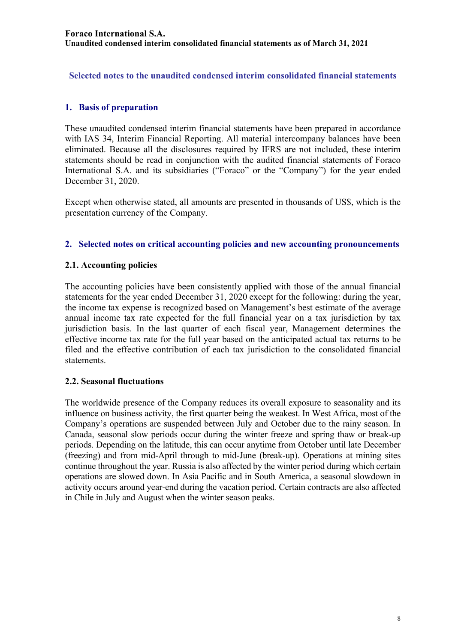**Selected notes to the unaudited condensed interim consolidated financial statements** 

# **1. Basis of preparation**

These unaudited condensed interim financial statements have been prepared in accordance with IAS 34, Interim Financial Reporting. All material intercompany balances have been eliminated. Because all the disclosures required by IFRS are not included, these interim statements should be read in conjunction with the audited financial statements of Foraco International S.A. and its subsidiaries ("Foraco" or the "Company") for the year ended December 31, 2020.

Except when otherwise stated, all amounts are presented in thousands of US\$, which is the presentation currency of the Company.

#### **2. Selected notes on critical accounting policies and new accounting pronouncements**

#### **2.1. Accounting policies**

The accounting policies have been consistently applied with those of the annual financial statements for the year ended December 31, 2020 except for the following: during the year, the income tax expense is recognized based on Management's best estimate of the average annual income tax rate expected for the full financial year on a tax jurisdiction by tax jurisdiction basis. In the last quarter of each fiscal year, Management determines the effective income tax rate for the full year based on the anticipated actual tax returns to be filed and the effective contribution of each tax jurisdiction to the consolidated financial statements.

#### **2.2. Seasonal fluctuations**

The worldwide presence of the Company reduces its overall exposure to seasonality and its influence on business activity, the first quarter being the weakest. In West Africa, most of the Company's operations are suspended between July and October due to the rainy season. In Canada, seasonal slow periods occur during the winter freeze and spring thaw or break-up periods. Depending on the latitude, this can occur anytime from October until late December (freezing) and from mid-April through to mid-June (break-up). Operations at mining sites continue throughout the year. Russia is also affected by the winter period during which certain operations are slowed down. In Asia Pacific and in South America, a seasonal slowdown in activity occurs around year-end during the vacation period. Certain contracts are also affected in Chile in July and August when the winter season peaks.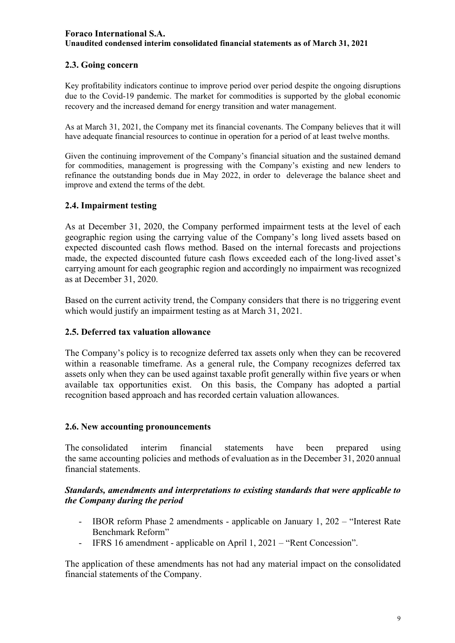# **2.3. Going concern**

Key profitability indicators continue to improve period over period despite the ongoing disruptions due to the Covid-19 pandemic. The market for commodities is supported by the global economic recovery and the increased demand for energy transition and water management.

As at March 31, 2021, the Company met its financial covenants. The Company believes that it will have adequate financial resources to continue in operation for a period of at least twelve months.

Given the continuing improvement of the Company's financial situation and the sustained demand for commodities, management is progressing with the Company's existing and new lenders to refinance the outstanding bonds due in May 2022, in order to deleverage the balance sheet and improve and extend the terms of the debt.

#### **2.4. Impairment testing**

As at December 31, 2020, the Company performed impairment tests at the level of each geographic region using the carrying value of the Company's long lived assets based on expected discounted cash flows method. Based on the internal forecasts and projections made, the expected discounted future cash flows exceeded each of the long-lived asset's carrying amount for each geographic region and accordingly no impairment was recognized as at December 31, 2020.

Based on the current activity trend, the Company considers that there is no triggering event which would justify an impairment testing as at March 31, 2021.

#### **2.5. Deferred tax valuation allowance**

The Company's policy is to recognize deferred tax assets only when they can be recovered within a reasonable timeframe. As a general rule, the Company recognizes deferred tax assets only when they can be used against taxable profit generally within five years or when available tax opportunities exist. On this basis, the Company has adopted a partial recognition based approach and has recorded certain valuation allowances.

#### **2.6. New accounting pronouncements**

The consolidated interim financial statements have been prepared using the same accounting policies and methods of evaluation as in the December 31, 2020 annual financial statements.

#### *Standards, amendments and interpretations to existing standards that were applicable to the Company during the period*

- IBOR reform Phase 2 amendments applicable on January 1, 202 "Interest Rate Benchmark Reform"
- IFRS 16 amendment applicable on April 1, 2021 "Rent Concession".

The application of these amendments has not had any material impact on the consolidated financial statements of the Company.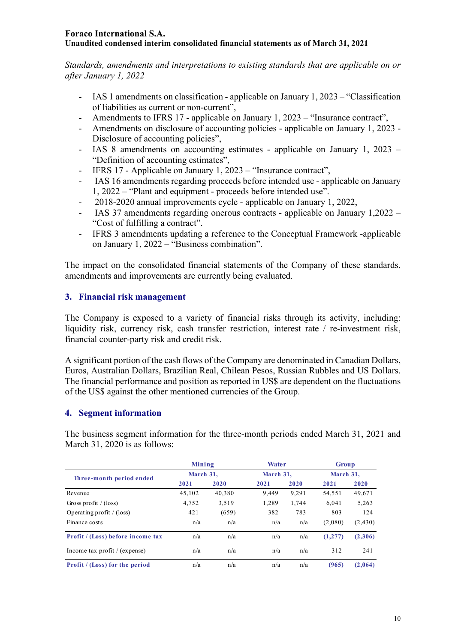*Standards, amendments and interpretations to existing standards that are applicable on or after January 1, 2022* 

- IAS 1 amendments on classification applicable on January 1, 2023 "Classification of liabilities as current or non-current",
- Amendments to IFRS 17 applicable on January 1, 2023 "Insurance contract",
- Amendments on disclosure of accounting policies applicable on January 1, 2023 Disclosure of accounting policies".
- IAS 8 amendments on accounting estimates applicable on January 1, 2023 "Definition of accounting estimates",
- IFRS 17 Applicable on January 1, 2023 "Insurance contract",
- IAS 16 amendments regarding proceeds before intended use applicable on January 1, 2022 – "Plant and equipment - proceeds before intended use".
- 2018-2020 annual improvements cycle applicable on January 1, 2022,
- IAS 37 amendments regarding onerous contracts applicable on January 1,2022 "Cost of fulfilling a contract".
- IFRS 3 amendments updating a reference to the Conceptual Framework -applicable on January 1, 2022 – "Business combination".

The impact on the consolidated financial statements of the Company of these standards, amendments and improvements are currently being evaluated.

#### **3. Financial risk management**

The Company is exposed to a variety of financial risks through its activity, including: liquidity risk, currency risk, cash transfer restriction, interest rate / re-investment risk, financial counter-party risk and credit risk.

A significant portion of the cash flows of the Company are denominated in Canadian Dollars, Euros, Australian Dollars, Brazilian Real, Chilean Pesos, Russian Rubbles and US Dollars. The financial performance and position as reported in US\$ are dependent on the fluctuations of the US\$ against the other mentioned currencies of the Group.

#### **4. Segment information**

The business segment information for the three-month periods ended March 31, 2021 and March 31, 2020 is as follows:

|                                       | Mining    |        | Water     |       | <b>Group</b> |          |
|---------------------------------------|-----------|--------|-----------|-------|--------------|----------|
| Three-month period ended              | March 31. |        | March 31. |       | March 31.    |          |
|                                       | 2021      | 2020   | 2021      | 2020  | 2021         | 2020     |
| Revenue                               | 45,102    | 40,380 | 9.449     | 9,291 | 54,551       | 49,671   |
| Gross profit / $(\text{loss})$        | 4,752     | 3,519  | 1,289     | 1.744 | 6.041        | 5,263    |
| Operating profit $/(loss)$            | 421       | (659)  | 382       | 783   | 803          | 124      |
| Finance costs                         | n/a       | n/a    | n/a       | n/a   | (2,080)      | (2, 430) |
| Profit / (Loss) before income tax     | n/a       | n/a    | n/a       | n/a   | (1, 277)     | (2,306)  |
| Income tax profit / (expense)         | n/a       | n/a    | n/a       | n/a   | 312          | 241      |
| <b>Profit</b> / (Loss) for the period | n/a       | n/a    | n/a       | n/a   | (965)        | (2,064)  |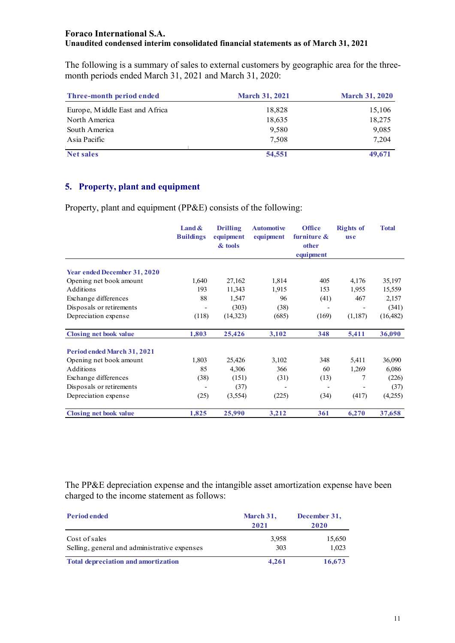The following is a summary of sales to external customers by geographic area for the threemonth periods ended March 31, 2021 and March 31, 2020:

| Three-month period ended       | <b>March 31, 2021</b> | <b>March 31, 2020</b> |
|--------------------------------|-----------------------|-----------------------|
| Europe, Middle East and Africa | 18,828                | 15,106                |
| North America                  | 18,635                | 18,275                |
| South America                  | 9,580                 | 9,085                 |
| Asia Pacific                   | 7.508                 | 7.204                 |
| <b>Net sales</b>               | 54,551                | 49,671                |

# **5. Property, plant and equipment**

Property, plant and equipment (PP&E) consists of the following:

|                                     | Land $\&$<br><b>Buildings</b> | <b>Drilling</b><br>equipment<br>& tools | <b>Automotive</b><br>equipment | <b>Office</b><br>furniture &<br>other | <b>Rights of</b><br><b>use</b> | <b>Total</b> |
|-------------------------------------|-------------------------------|-----------------------------------------|--------------------------------|---------------------------------------|--------------------------------|--------------|
|                                     |                               |                                         |                                | equipment                             |                                |              |
| <b>Year ended December 31, 2020</b> |                               |                                         |                                |                                       |                                |              |
| Opening net book amount             | 1,640                         | 27,162                                  | 1,814                          | 405                                   | 4,176                          | 35,197       |
| Additions                           | 193                           | 11,343                                  | 1,915                          | 153                                   | 1,955                          | 15,559       |
| Exchange differences                | 88                            | 1,547                                   | 96                             | (41)                                  | 467                            | 2,157        |
| Disposals or retirements            | -                             | (303)                                   | (38)                           |                                       |                                | (341)        |
| Depreciation expense                | (118)                         | (14,323)                                | (685)                          | (169)                                 | (1,187)                        | (16, 482)    |
| <b>Closing net book value</b>       | 1,803                         | 25,426                                  | 3,102                          | 348                                   | 5,411                          | 36,090       |
| Period ended March 31, 2021         |                               |                                         |                                |                                       |                                |              |
| Opening net book amount             | 1,803                         | 25,426                                  | 3,102                          | 348                                   | 5,411                          | 36,090       |
| Additions                           | 85                            | 4,306                                   | 366                            | 60                                    | 1,269                          | 6,086        |
| Exchange differences                | (38)                          | (151)                                   | (31)                           | (13)                                  | 7                              | (226)        |
| Disposals or retirements            |                               | (37)                                    |                                |                                       |                                | (37)         |
| Depreciation expense                | (25)                          | (3,554)                                 | (225)                          | (34)                                  | (417)                          | (4,255)      |
| <b>Closing net book value</b>       | 1,825                         | 25,990                                  | 3,212                          | 361                                   | 6,270                          | 37,658       |

The PP&E depreciation expense and the intangible asset amortization expense have been charged to the income statement as follows:

| <b>Period ended</b>                                           | March 31,<br>2021 | December 31,<br>2020 |
|---------------------------------------------------------------|-------------------|----------------------|
| Cost of sales<br>Selling, general and administrative expenses | 3.958<br>303      | 15,650<br>1,023      |
| <b>Total depreciation and amortization</b>                    | 4.261             | 16,673               |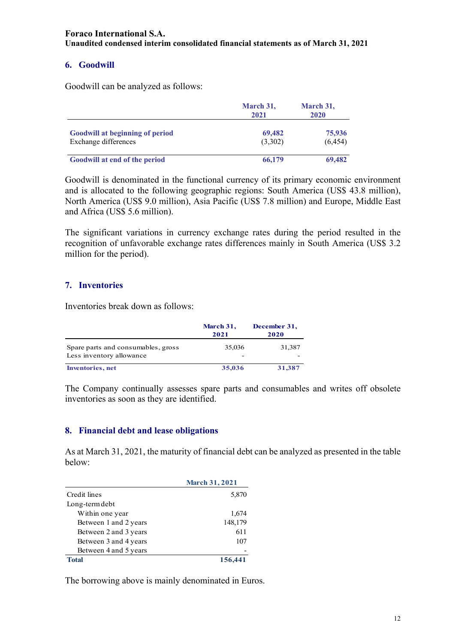#### **6. Goodwill**

Goodwill can be analyzed as follows:

|                                                                | March 31,<br>2021 | March 31,<br>2020  |
|----------------------------------------------------------------|-------------------|--------------------|
| <b>Goodwill at beginning of period</b><br>Exchange differences | 69,482<br>(3,302) | 75,936<br>(6, 454) |
| Goodwill at end of the period                                  | 66,179            | 69,482             |

Goodwill is denominated in the functional currency of its primary economic environment and is allocated to the following geographic regions: South America (US\$ 43.8 million), North America (US\$ 9.0 million), Asia Pacific (US\$ 7.8 million) and Europe, Middle East and Africa (US\$ 5.6 million).

The significant variations in currency exchange rates during the period resulted in the recognition of unfavorable exchange rates differences mainly in South America (US\$ 3.2 million for the period).

#### **7. Inventories**

Inventories break down as follows:

|                                                                | March 31,<br>2021 | December 31,<br>2020 |
|----------------------------------------------------------------|-------------------|----------------------|
| Spare parts and consumables, gross<br>Less inventory allowance | 35,036<br>-       | 31,387               |
| <b>Inventories</b> , net                                       | 35,036            | 31,387               |

The Company continually assesses spare parts and consumables and writes off obsolete inventories as soon as they are identified.

#### **8. Financial debt and lease obligations**

As at March 31, 2021, the maturity of financial debt can be analyzed as presented in the table below:

|                       | <b>March 31, 2021</b> |
|-----------------------|-----------------------|
| Credit lines          | 5,870                 |
| Long-term debt        |                       |
| Within one year       | 1,674                 |
| Between 1 and 2 years | 148,179               |
| Between 2 and 3 years | 611                   |
| Between 3 and 4 years | 107                   |
| Between 4 and 5 years |                       |
| <b>Total</b>          | 156,441               |

The borrowing above is mainly denominated in Euros.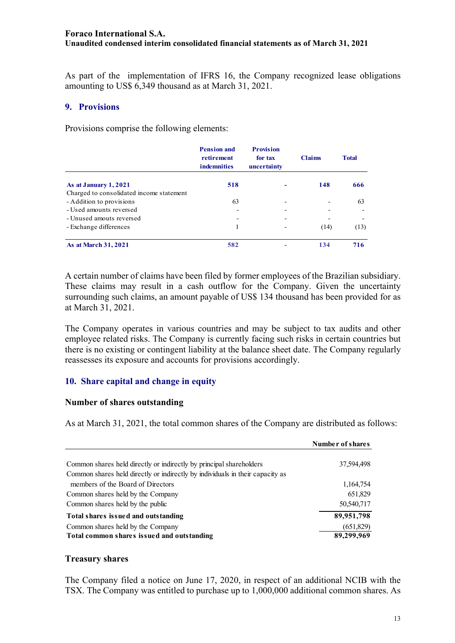As part of the implementation of IFRS 16, the Company recognized lease obligations amounting to US\$ 6,349 thousand as at March 31, 2021.

#### **9. Provisions**

Provisions comprise the following elements:

|                                          | <b>Pension and</b><br>retirement<br><b>indemnities</b> | <b>Provision</b><br>for tax<br>uncertainty | <b>Claims</b> | <b>Total</b> |
|------------------------------------------|--------------------------------------------------------|--------------------------------------------|---------------|--------------|
| As at January 1, 2021                    | 518                                                    |                                            | 148           | 666          |
| Charged to consolidated income statement |                                                        |                                            |               |              |
| - Addition to provisions                 | 63                                                     |                                            |               | 63           |
| - Used amounts reversed                  |                                                        |                                            |               |              |
| - Unused amouts reversed                 |                                                        |                                            |               |              |
| - Exchange differences                   |                                                        |                                            | (14)          | (13)         |
| <b>As at March 31, 2021</b>              | 582                                                    |                                            | 134           | 716          |

A certain number of claims have been filed by former employees of the Brazilian subsidiary. These claims may result in a cash outflow for the Company. Given the uncertainty surrounding such claims, an amount payable of US\$ 134 thousand has been provided for as at March 31, 2021.

The Company operates in various countries and may be subject to tax audits and other employee related risks. The Company is currently facing such risks in certain countries but there is no existing or contingent liability at the balance sheet date. The Company regularly reassesses its exposure and accounts for provisions accordingly.

#### **10. Share capital and change in equity**

#### **Number of shares outstanding**

As at March 31, 2021, the total common shares of the Company are distributed as follows:

|                                                                                 | Number of shares        |
|---------------------------------------------------------------------------------|-------------------------|
| Common shares held directly or indirectly by principal shareholders             | 37,594,498              |
| Common shares held directly or indirectly by individuals in their capacity as   |                         |
| members of the Board of Directors                                               | 1,164,754               |
| Common shares held by the Company                                               | 651,829                 |
| Common shares held by the public                                                | 50,540,717              |
| Total shares issued and outstanding                                             | 89,951,798              |
| Common shares held by the Company<br>Total common shares issued and outstanding | (651,829)<br>89,299,969 |

#### **Treasury shares**

The Company filed a notice on June 17, 2020, in respect of an additional NCIB with the TSX. The Company was entitled to purchase up to 1,000,000 additional common shares. As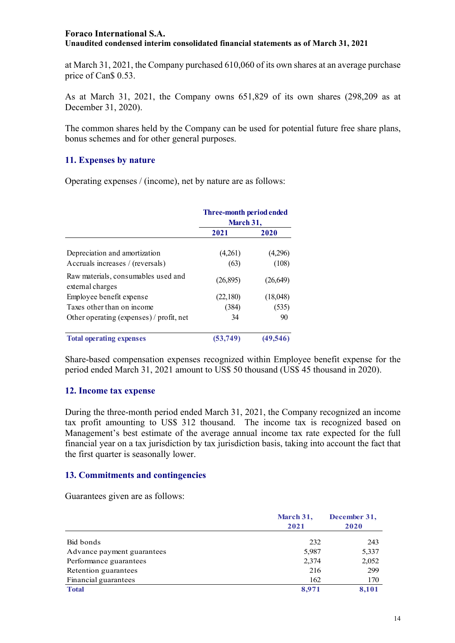at March 31, 2021, the Company purchased 610,060 of its own shares at an average purchase price of Can\$ 0.53.

As at March 31, 2021, the Company owns 651,829 of its own shares (298,209 as at December 31, 2020).

The common shares held by the Company can be used for potential future free share plans, bonus schemes and for other general purposes.

#### **11. Expenses by nature**

Operating expenses / (income), net by nature are as follows:

|                                                         | Three-month period ended<br>March 31, |           |
|---------------------------------------------------------|---------------------------------------|-----------|
|                                                         | 2021                                  | 2020      |
| Depreciation and amortization                           | (4,261)                               | (4,296)   |
| Accruals increases / (reversals)                        | (63)                                  | (108)     |
| Raw materials, consumables used and<br>external charges | (26,895)                              | (26,649)  |
| Employee benefit expense                                | (22,180)                              | (18,048)  |
| Taxes other than on income                              | (384)                                 | (535)     |
| Other operating (expenses) / profit, net                | 34                                    | 90        |
| <b>Total operating expenses</b>                         | (53.749)                              | (49, 546) |

Share-based compensation expenses recognized within Employee benefit expense for the period ended March 31, 2021 amount to US\$ 50 thousand (US\$ 45 thousand in 2020).

#### **12. Income tax expense**

During the three-month period ended March 31, 2021, the Company recognized an income tax profit amounting to US\$ 312 thousand. The income tax is recognized based on Management's best estimate of the average annual income tax rate expected for the full financial year on a tax jurisdiction by tax jurisdiction basis, taking into account the fact that the first quarter is seasonally lower.

#### **13. Commitments and contingencies**

Guarantees given are as follows:

|                            | March 31,<br>2021 | December 31,<br>2020 |
|----------------------------|-------------------|----------------------|
| Bid bonds                  | 232               | 243                  |
| Advance payment guarantees | 5,987             | 5,337                |
| Performance guarantees     | 2,374             | 2,052                |
| Retention guarantees       | 216               | 299                  |
| Financial guarantees       | 162               | 170                  |
| <b>Total</b>               | 8,971             | 8,101                |